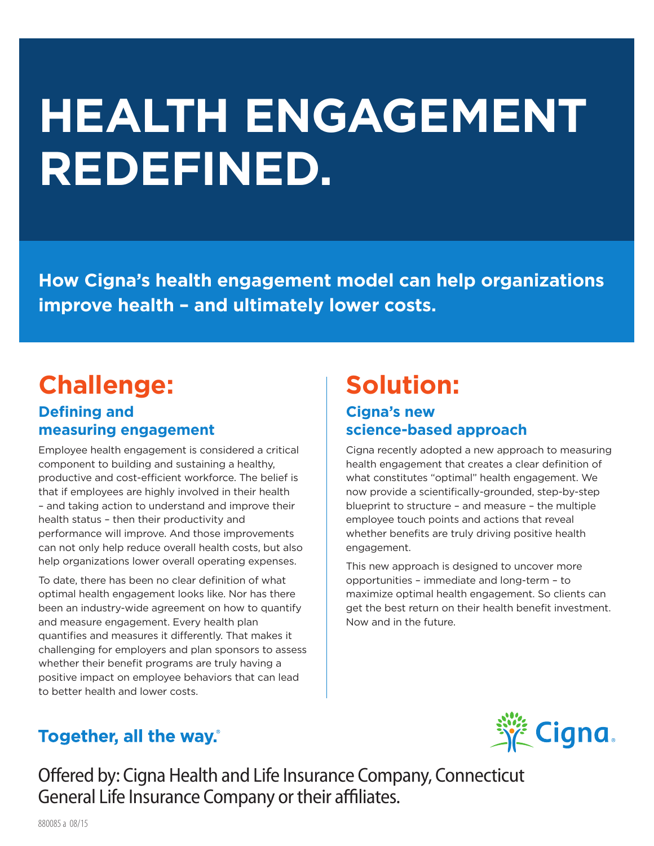# **HEALTH ENGAGEMENT REDEFINED.**

**How Cigna's health engagement model can help organizations improve health – and ultimately lower costs.**

# **Challenge: Defining and measuring engagement**

Employee health engagement is considered a critical component to building and sustaining a healthy, productive and cost-efficient workforce. The belief is that if employees are highly involved in their health – and taking action to understand and improve their health status – then their productivity and performance will improve. And those improvements can not only help reduce overall health costs, but also help organizations lower overall operating expenses.

To date, there has been no clear definition of what optimal health engagement looks like. Nor has there been an industry-wide agreement on how to quantify and measure engagement. Every health plan quantifies and measures it differently. That makes it challenging for employers and plan sponsors to assess whether their benefit programs are truly having a positive impact on employee behaviors that can lead to better health and lower costs.

# **Solution: Cigna's new science-based approach**

Cigna recently adopted a new approach to measuring health engagement that creates a clear definition of what constitutes "optimal" health engagement. We now provide a scientifically-grounded, step-by-step blueprint to structure – and measure – the multiple employee touch points and actions that reveal whether benefits are truly driving positive health engagement.

This new approach is designed to uncover more opportunities – immediate and long-term – to maximize optimal health engagement. So clients can get the best return on their health benefit investment. Now and in the future.

# Together, all the way.



Offered by: Cigna Health and Life Insurance Company, Connecticut General Life Insurance Company or their affiliates.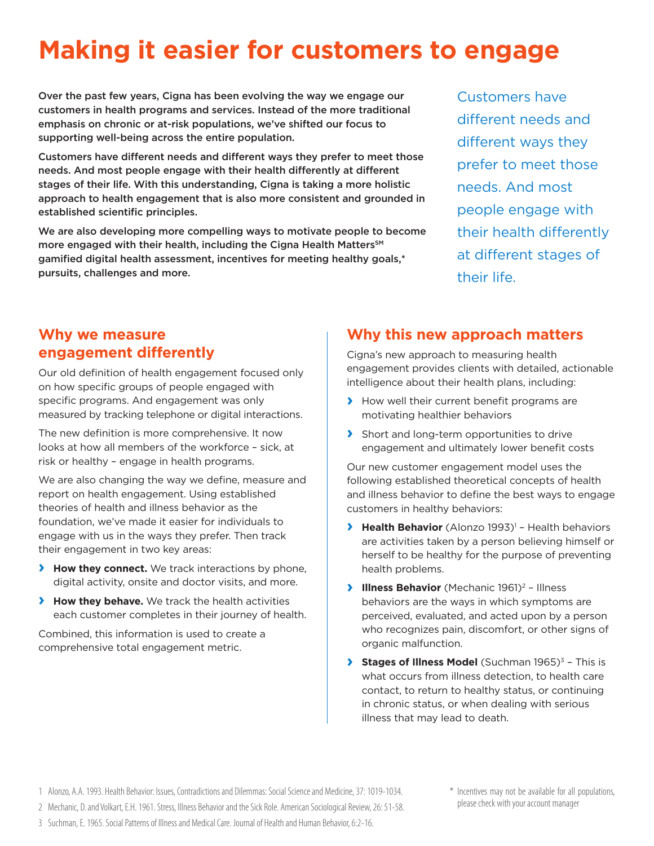# **Making it easier for customers to engage**

Over the past few years, Cigna has been evolving the way we engage our customers in health programs and services. Instead of the more traditional emphasis on chronic or at-risk populations, we've shifted our focus to supporting well-being across the entire population.

Customers have different needs and different ways they prefer to meet those needs. And most people engage with their health differently at different stages of their life. With this understanding, Cigna is taking a more holistic approach to health engagement that is also more consistent and grounded in established scientific principles.

We are also developing more compelling ways to motivate people to become more engaged with their health, including the Cigna Health Matters<sup>SM</sup> gamified digital health assessment, incentives for meeting healthy goals,\* pursuits, challenges and more.

Customers have different needs and different ways they prefer to meet those needs. And most people engage with their health differently at different stages of their life.

### **Why we measure engagement differently**

Our old definition of health engagement focused only on how specific groups of people engaged with specific programs. And engagement was only measured by tracking telephone or digital interactions.

The new definition is more comprehensive. It now looks at how all members of the workforce – sick, at risk or healthy – engage in health programs.

We are also changing the way we define, measure and report on health engagement. Using established theories of health and illness behavior as the foundation, we've made it easier for individuals to engage with us in the ways they prefer. Then track their engagement in two key areas:

- **› How they connect.** We track interactions by phone, digital activity, onsite and doctor visits, and more.
- **› How they behave.** We track the health activities each customer completes in their journey of health.

Combined, this information is used to create a comprehensive total engagement metric.

### **Why this new approach matters**

Cigna's new approach to measuring health engagement provides clients with detailed, actionable intelligence about their health plans, including:

- **›** How well their current benefit programs are motivating healthier behaviors
- **›** Short and long-term opportunities to drive engagement and ultimately lower benefit costs

Our new customer engagement model uses the following established theoretical concepts of health and illness behavior to define the best ways to engage customers in healthy behaviors:

- **› Health Behavior** (Alonzo 1993)<sup>1</sup> Health behaviors are activities taken by a person believing himself or herself to be healthy for the purpose of preventing health problems.
- **› Illness Behavior** (Mechanic 1961)<sup>2</sup> Illness behaviors are the ways in which symptoms are perceived, evaluated, and acted upon by a person who recognizes pain, discomfort, or other signs of organic malfunction.
- **> Stages of Illness Model** (Suchman 1965)<sup>3</sup> This is what occurs from illness detection, to health care contact, to return to healthy status, or continuing in chronic status, or when dealing with serious illness that may lead to death.
- 1 Alonzo, A.A. 1993. Health Behavior: Issues, Contradictions and Dilemmas: Social Science and Medicine, 37: 1019-1034.
- 2 Mechanic, D. and Volkart, E.H. 1961. Stress, Illness Behavior and the Sick Role. American Sociological Review, 26: 51-58.
- 3 Suchman, E. 1965. Social Patterns of Illness and Medical Care. Journal of Health and Human Behavior, 6:2-16.
- \* Incentives may not be available for all populations, please check with your account manager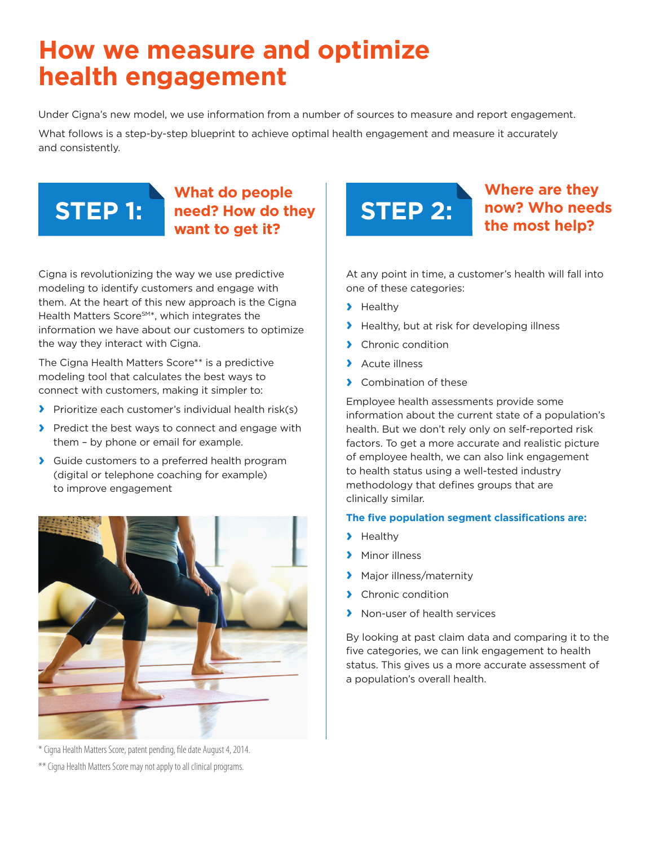# **How we measure and optimize health engagement**

Under Cigna's new model, we use information from a number of sources to measure and report engagement.

What follows is a step-by-step blueprint to achieve optimal health engagement and measure it accurately and consistently.

#### **What do people need? How do they want to get it? STEP 1: need?** How do they **STEP 2:**

Cigna is revolutionizing the way we use predictive modeling to identify customers and engage with them. At the heart of this new approach is the Cigna Health Matters Score<sup>SM\*</sup>, which integrates the information we have about our customers to optimize the way they interact with Cigna.

The Cigna Health Matters Score\*\* is a predictive modeling tool that calculates the best ways to connect with customers, making it simpler to:

- **›** Prioritize each customer's individual health risk(s)
- **›** Predict the best ways to connect and engage with them – by phone or email for example.
- **›** Guide customers to a preferred health program (digital or telephone coaching for example) to improve engagement



\* Cigna Health Matters Score, patent pending, file date August 4, 2014. \*\* Cigna Health Matters Score may not apply to all clinical programs.



### **Where are they now? Who needs the most help?**

At any point in time, a customer's health will fall into one of these categories:

- **›** Healthy
- **›** Healthy, but at risk for developing illness
- **›** Chronic condition
- **›** Acute illness
- **›** Combination of these

Employee health assessments provide some information about the current state of a population's health. But we don't rely only on self-reported risk factors. To get a more accurate and realistic picture of employee health, we can also link engagement to health status using a well-tested industry methodology that defines groups that are clinically similar.

#### **The five population segment classifications are:**

- **›** Healthy
- **›** Minor illness
- **›** Major illness/maternity
- **›** Chronic condition
- **›** Non-user of health services

By looking at past claim data and comparing it to the five categories, we can link engagement to health status. This gives us a more accurate assessment of a population's overall health.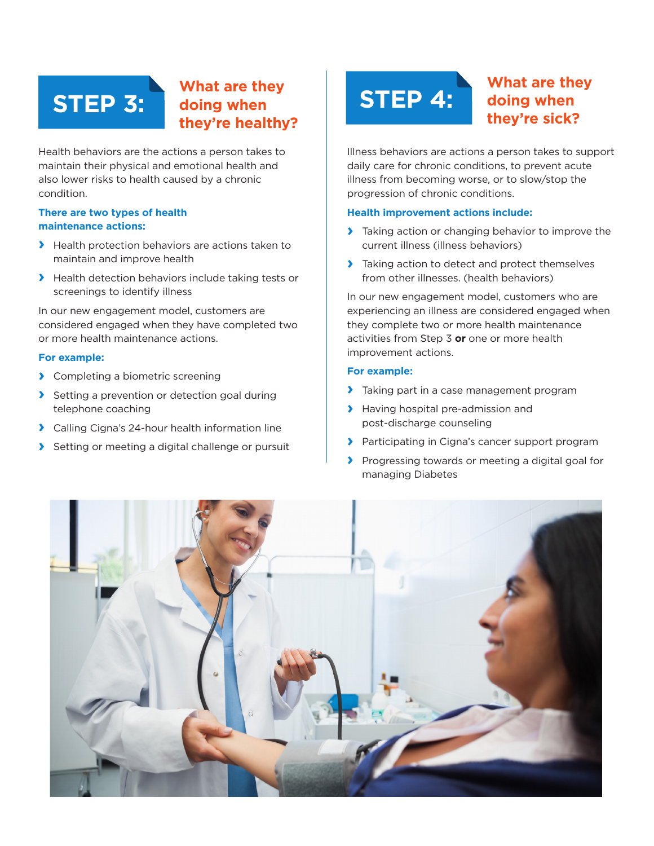#### **What are they doing when they're healthy?** STEP 3: **STEP 4:**

Health behaviors are the actions a person takes to maintain their physical and emotional health and also lower risks to health caused by a chronic condition.

#### **There are two types of health maintenance actions:**

- **›** Health protection behaviors are actions taken to maintain and improve health
- **›** Health detection behaviors include taking tests or screenings to identify illness

In our new engagement model, customers are considered engaged when they have completed two or more health maintenance actions.

#### **For example:**

- **›** Completing a biometric screening
- **›** Setting a prevention or detection goal during telephone coaching
- **›** Calling Cigna's 24-hour health information line
- **›** Setting or meeting a digital challenge or pursuit

### **What are they doing when they're sick?**

Illness behaviors are actions a person takes to support daily care for chronic conditions, to prevent acute illness from becoming worse, or to slow/stop the progression of chronic conditions.

#### **Health improvement actions include:**

- **›** Taking action or changing behavior to improve the current illness (illness behaviors)
- **›** Taking action to detect and protect themselves from other illnesses. (health behaviors)

In our new engagement model, customers who are experiencing an illness are considered engaged when they complete two or more health maintenance activities from Step 3 **or** one or more health improvement actions.

#### **For example:**

- **›** Taking part in a case management program
- **›** Having hospital pre-admission and post-discharge counseling
- **›** Participating in Cigna's cancer support program
- **›** Progressing towards or meeting a digital goal for managing Diabetes

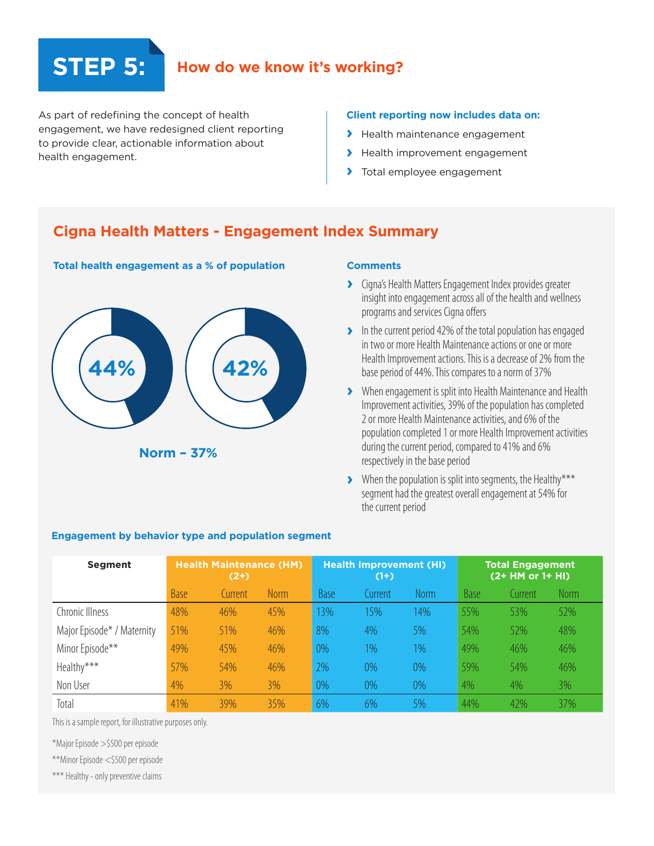## **STEP 5: How do we know it's working?**

As part of redefining the concept of health engagement, we have redesigned client reporting to provide clear, actionable information about health engagement.

#### **Client reporting now includes data on:**

- **›** Health maintenance engagement
- **›** Health improvement engagement
- **›** Total employee engagement

#### **Cigna Health Matters - Engagement Index Summary**



#### **Total health engagement as a % of population Comments**

- **›** Cigna's Health Matters Engagement Index provides greater insight into engagement across all of the health and wellness programs and services Cigna offers
- **›** In the current period 42% of the total population has engaged in two or more Health Maintenance actions or one or more Health Improvement actions. This is a decrease of 2% from the base period of 44%. This compares to a norm of 37%
- **›** When engagement is split into Health Maintenance and Health Improvement activities, 39% of the population has completed 2 or more Health Maintenance activities, and 6% of the population completed 1 or more Health Improvement activities during the current period, compared to 41% and 6% respectively in the base period
- **›** When the population is split into segments, the Healthy\*\*\* segment had the greatest overall engagement at 54% for the current period

| <b>Segment</b>             | <b>Health Maintenance (HM)</b><br>$(2+)$ |         |             | <b>Health Improvement (HI)</b><br>$(1+)$ |         |       | <b>Total Engagement</b><br>(2+ HM or 1+ HI) |         |             |
|----------------------------|------------------------------------------|---------|-------------|------------------------------------------|---------|-------|---------------------------------------------|---------|-------------|
|                            | Base                                     | Current | <b>Norm</b> | <b>Base</b>                              | Current | Norm  | <b>Base</b>                                 | Current | <b>Norm</b> |
| Chronic Illness            | 48%                                      | 46%     | 45%         | 13%                                      | 15%     | 14%   | 55%                                         | 53%     | 52%         |
| Major Episode* / Maternity | 51%                                      | 51%     | 46%         | 8%                                       | 4%      | 5%    | 54%                                         | 52%     | 48%         |
| Minor Episode**            | 49%                                      | 45%     | 46%         | 0%                                       | $1\%$   | $1\%$ | 49%                                         | 46%     | 46%         |
| Healthy***                 | 57%                                      | 54%     | 46%         | 2%                                       | $0\%$   | $0\%$ | 59%                                         | 54%     | 46%         |
| Non User                   | 4%                                       | 3%      | 3%          | 0%                                       | $0\%$   | $0\%$ | 4%                                          | 4%      | 3%          |
| Total                      | 41%                                      | 39%     | 35%         | 6%                                       | 6%      | 5%    | 44%                                         | 42%     | 37%         |

#### **Engagement by behavior type and population segment**

This is a sample report, for illustrative purposes only.

\*Major Episode >\$500 per episode

\*\*Minor Episode <\$500 per episode

\*\*\* Healthy - only preventive claims